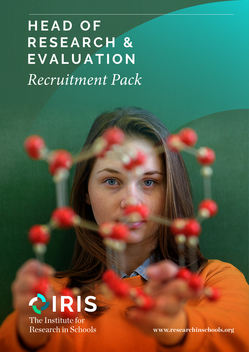# **HEAD OF RESEARCH & EVALUATION** *Recruitment Pack*



 **www.researchinschools.org**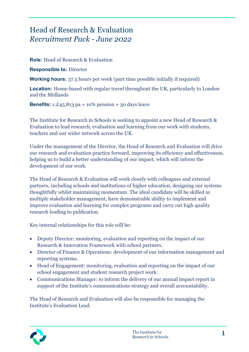# Head of Research & Evaluation *Recruitment Pack - June 2022*

**Role:** Head of Research & Evaluation

**Responsible to:** Director

**Working hours:** 37.5 hours per week (part time possible initially if required)

**Location:** Home-based with regular travel throughout the UK, particularly to London and the Midlands

**Benefits:**  $c.f.45,813$  pa + 10% pension + 30 days leave

The Institute for Research in Schools is seeking to appoint a new Head of Research & Evaluation to lead research, evaluation and learning from our work with students, teachers and our wider network across the UK.

Under the management of the Director, the Head of Research and Evaluation will drive our research and evaluation practice forward, improving its efficiency and effectiveness, helping us to build a better understanding of our impact, which will inform the development of our work.

The Head of Research & Evaluation will work closely with colleagues and external partners, including schools and institutions of higher education, designing our systems thoughtfully whilst maintaining momentum. The ideal candidate will be skilled in multiple stakeholder management, have demonstrable ability to implement and improve evaluation and learning for complex programs and carry out high quality research leading to publication.

Key internal relationships for this role will be:

- Deputy Director: monitoring, evaluation and reporting on the impact of our Research & Innovation Framework with school partners.
- Director of Finance & Operations: development of our information management and reporting systems.
- Head of Engagement: monitoring, evaluation and reporting on the impact of our school engagement and student research project work.
- Communications Manager: to inform the delivery of our annual impact report in support of the Institute's communications strategy and overall accountability.

The Head of Research and Evaluation will also be responsible for managing the Institute's Evaluation Lead.

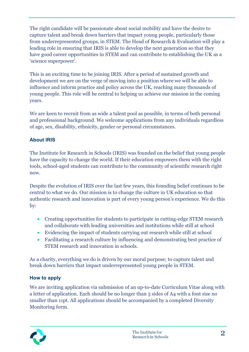The right candidate will be passionate about social mobility and have the desire to capture talent and break down barriers that impact young people, particularly those from underrepresented groups, in STEM. The Head of Research & Evaluation will play a leading role in ensuring that IRIS is able to develop the next generation so that they have good career opportunities in STEM and can contribute to establishing the UK as a 'science superpower'.

This is an exciting time to be joining IRIS. After a period of sustained growth and development we are on the verge of moving into a position where we will be able to influence and inform practice and policy across the UK, reaching many thousands of young people. This role will be central to helping us achieve our mission in the coming years.

We are keen to recruit from as wide a talent pool as possible, in terms of both personal and professional background. We welcome applications from any individuals regardless of age, sex, disability, ethnicity, gender or personal circumstances.

## **About IRIS**

The Institute for Research in Schools (IRIS) was founded on the belief that young people have the capacity to change the world. If their education empowers them with the right tools, school-aged students can contribute to the community of scientific research right now.

Despite the evolution of IRIS over the last few years, this founding belief continues to be central to what we do. Our mission is to change the culture in UK education so that authentic research and innovation is part of every young person's experience. We do this by:

- Creating opportunities for students to participate in cutting-edge STEM research and collaborate with leading universities and institutions while still at school
- Evidencing the impact of students carrying out research while still at school
- Facilitating a research culture by influencing and demonstrating best practice of STEM research and innovation in schools.

As a charity, everything we do is driven by our moral purpose; to capture talent and break down barriers that impact underrepresented young people in STEM.

### **How to apply**

We are inviting application via submission of an up-to-date Curriculum Vitae along with a letter of application. Each should be no longer than 3 sides of A4 with a font size no smaller than 11pt. All applications should be accompanied by a completed Diversity Monitoring form.

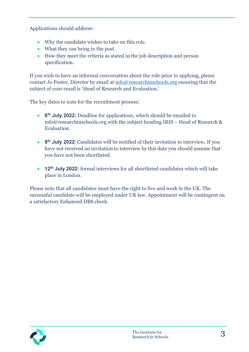Applications should address:

- Why the candidate wishes to take on this role.
- What they can bring to the post.
- How they meet the criteria as stated in the job description and person specification.

If you wish to have an informal conversation about the role prior to applying, please contact Jo Foster, Director by email at [info@researchinschools.org](mailto:info@researchinschools.org) ensuring that the subject of your email is 'Head of Research and Evaluation.'

The key dates to note for the recruitment process:

- **6th July 2022:** Deadline for applications, which should be emailed to info@researchinschools.org with the subject heading IRIS – Head of Research & Evaluation.
- **8th July 2022**: Candidates will be notified of their invitation to interview**.** If you have not received an invitation to interview by this date you should assume that you have not been shortlisted.
- **12th July 2022:** formal interviews for all shortlisted candidates which will take place in London.

Please note that all candidates must have the right to live and work in the UK. The successful candidate will be employed under UK law. Appointment will be contingent on a satisfactory Enhanced DBS check.

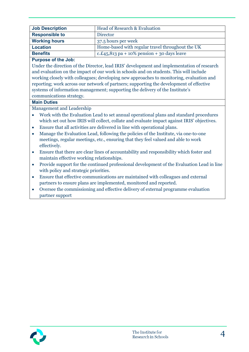| <b>Job Description</b> | Head of Research & Evaluation                    |  |
|------------------------|--------------------------------------------------|--|
| <b>Responsible to</b>  | Director                                         |  |
| <b>Working hours</b>   | 37.5 hours per week                              |  |
| <b>Location</b>        | Home-based with regular travel throughout the UK |  |
| <b>Benefits</b>        | c.£45,813 pa + 10% pension + 30 days leave       |  |

#### **Purpose of the Job:**

Under the direction of the Director, lead IRIS' development and implementation of research and evaluation on the impact of our work in schools and on students. This will include working closely with colleagues; developing new approaches to monitoring, evaluation and reporting; work across our network of partners; supporting the development of effective systems of information management; supporting the delivery of the Institute's communications strategy.

#### **Main Duties**

Management and Leadership

- Work with the Evaluation Lead to set annual operational plans and standard procedures which set out how IRIS will collect, collate and evaluate impact against IRIS' objectives.
- Ensure that all activities are delivered in line with operational plans.
- Manage the Evaluation Lead, following the policies of the Institute, via one-to-one meetings, regular meetings, etc., ensuring that they feel valued and able to work effectively.
- Ensure that there are clear lines of accountability and responsibility which foster and maintain effective working relationships.
- Provide support for the continued professional development of the Evaluation Lead in line with policy and strategic priorities.
- Ensure that effective communications are maintained with colleagues and external partners to ensure plans are implemented, monitored and reported.
- Oversee the commissioning and effective delivery of external programme evaluation partner support

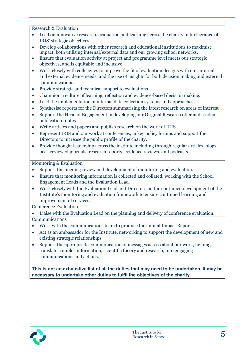Research & Evaluation

- Lead on innovative research, evaluation and learning across the charity in furtherance of IRIS' strategic objectives.
- Develop collaborations with other research and educational institutions to maximise impact, both utilising internal/external data and our growing school networks.
- Ensure that evaluation activity at project and programme level meets our strategic objectives, and is equitable and inclusive.
- Work closely with colleagues to improve the fit of evaluation designs with our internal and external evidence needs, and the use of insights for both decision making and external communications.
- Provide strategic and technical support to evaluations.
- Champion a culture of learning, reflection and evidence-based decision making.
- Lead the implementation of internal data collection systems and approaches.
- Synthesise reports for the Directors summarising the latest research on areas of interest
- Support the Head of Engagement in developing our Original Research offer and student publication routes
- Write articles and papers and publish research on the work of IRIS
- Represent IRIS and our work at conferences, in key policy forums and support the Directors to increase the public profile of the charity.
- Provide thought leadership across the institute including through regular articles, blogs, peer-reviewed journals, research reports, evidence reviews, and podcasts.

Monitoring & Evaluation

- Support the ongoing review and development of monitoring and evaluation.
- Ensure that monitoring information is collected and collated, working with the School Engagement Leads and the Evaluation Lead.
- Work closely with the Evaluation Lead and Directors on the continued development of the Institute's monitoring and evaluation framework to ensure continued learning and improvement of services.

Conference Evaluation

- Liaise with the Evaluation Lead on the planning and delivery of conference evaluation. Communications
- Work with the communications team to produce the annual Impact Report.
- Act as an ambassador for the Institute, networking to support the development of new and existing strategic relationships.
- Support the appropriate communication of messages across about our work, helping translate complex information, scientific theory and research, into engaging communications and actions.

**This is not an exhaustive list of all the duties that may need to be undertaken. It may be necessary to undertake other duties to fulfil the objectives of the charity.**

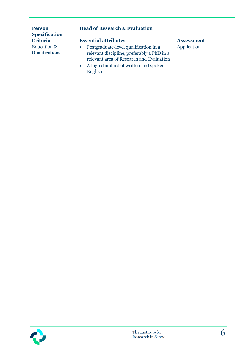| <b>Person</b><br><b>Specification</b>    | <b>Head of Research &amp; Evaluation</b>                                                                                                                                            |                   |  |
|------------------------------------------|-------------------------------------------------------------------------------------------------------------------------------------------------------------------------------------|-------------------|--|
| <b>Criteria</b>                          | <b>Essential attributes</b>                                                                                                                                                         | <b>Assessment</b> |  |
| <b>Education &amp;</b><br>Qualifications | Postgraduate-level qualification in a<br>relevant discipline, preferably a PhD in a<br>relevant area of Research and Evaluation<br>A high standard of written and spoken<br>English | Application       |  |

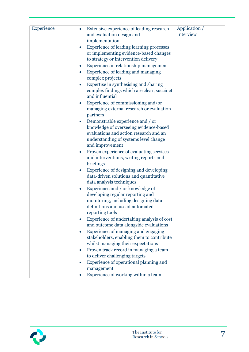| Experience | Extensive experience of leading research<br>Application /<br>$\bullet$<br>Interview               |
|------------|---------------------------------------------------------------------------------------------------|
|            | and evaluation design and<br>implementation                                                       |
|            | <b>Experience of leading learning processes</b>                                                   |
|            | or implementing evidence-based changes                                                            |
|            | to strategy or intervention delivery                                                              |
|            | Experience in relationship management<br>$\bullet$                                                |
|            | Experience of leading and managing                                                                |
|            | complex projects                                                                                  |
|            | Expertise in synthesising and sharing                                                             |
|            | complex findings which are clear, succinct                                                        |
|            | and influential                                                                                   |
|            | Experience of commissioning and/or                                                                |
|            | managing external research or evaluation                                                          |
|            | partners                                                                                          |
|            | Demonstrable experience and / or<br>$\bullet$                                                     |
|            | knowledge of overseeing evidence-based                                                            |
|            | evaluations and action research and an                                                            |
|            | understanding of systems level change                                                             |
|            | and improvement                                                                                   |
|            | Proven experience of evaluating services<br>$\bullet$                                             |
|            | and interventions, writing reports and                                                            |
|            | briefings                                                                                         |
|            | Experience of designing and developing<br>$\bullet$                                               |
|            | data-driven solutions and quantitative                                                            |
|            | data analysis techniques                                                                          |
|            | Experience and / or knowledge of<br>$\bullet$                                                     |
|            | developing regular reporting and                                                                  |
|            | monitoring, including designing data                                                              |
|            | definitions and use of automated                                                                  |
|            | reporting tools                                                                                   |
|            | Experience of undertaking analysis of cost<br>$\bullet$<br>and outcome data alongside evaluations |
|            | Experience of managing and engaging                                                               |
|            | $\bullet$<br>stakeholders, enabling them to contribute                                            |
|            | whilst managing their expectations                                                                |
|            | Proven track record in managing a team<br>$\bullet$                                               |
|            | to deliver challenging targets                                                                    |
|            | Experience of operational planning and                                                            |
|            | management                                                                                        |
|            | Experience of working within a team                                                               |
|            |                                                                                                   |

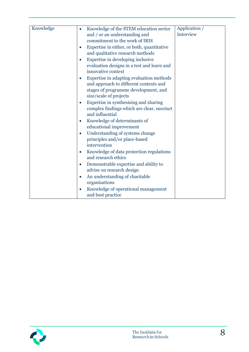| Knowledge | Knowledge of the STEM education sector<br>$\bullet$                                             | Application / |
|-----------|-------------------------------------------------------------------------------------------------|---------------|
|           | and / or an understanding and                                                                   | Interview     |
|           | commitment to the work of IRIS                                                                  |               |
|           | Expertise in either, or both, quantitative<br>$\bullet$                                         |               |
|           | and qualitative research methods                                                                |               |
|           | Expertise in developing inclusive                                                               |               |
|           | evaluation designs in a test and learn and<br>innovative context                                |               |
|           | Expertise in adapting evaluation methods<br>$\bullet$<br>and approach to different contexts and |               |
|           | stages of programme development, and                                                            |               |
|           | size/scale of projects                                                                          |               |
|           | Expertise in synthesising and sharing                                                           |               |
|           | complex findings which are clear, succinct                                                      |               |
|           | and influential                                                                                 |               |
|           | Knowledge of determinants of                                                                    |               |
|           | educational improvement                                                                         |               |
|           | Understanding of systems change                                                                 |               |
|           | principles and/or place-based                                                                   |               |
|           | intervention                                                                                    |               |
|           | Knowledge of data protection regulations<br>$\bullet$                                           |               |
|           | and research ethics                                                                             |               |
|           | Demonstrable expertise and ability to<br>$\bullet$                                              |               |
|           | advise on research design                                                                       |               |
|           | An understanding of charitable<br>$\bullet$<br>organisations                                    |               |
|           | Knowledge of operational management                                                             |               |
|           | and best practice                                                                               |               |